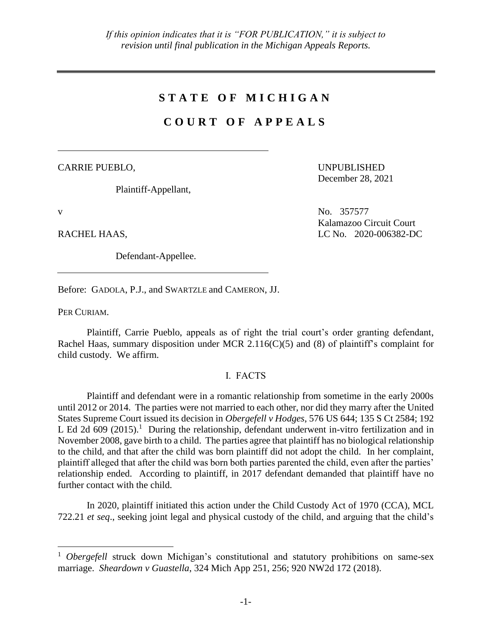# **S T A T E O F M I C H I G A N**

# **C O U R T O F A P P E A L S**

CARRIE PUEBLO,

Plaintiff-Appellant,

 $\overline{a}$ 

Defendant-Appellee.

UNPUBLISHED December 28, 2021

v No. 357577 Kalamazoo Circuit Court RACHEL HAAS, LC No. 2020-006382-DC

Before: GADOLA, P.J., and SWARTZLE and CAMERON, JJ.

PER CURIAM.

Plaintiff, Carrie Pueblo, appeals as of right the trial court's order granting defendant, Rachel Haas, summary disposition under MCR 2.116(C)(5) and (8) of plaintiff's complaint for child custody. We affirm.

# I. FACTS

Plaintiff and defendant were in a romantic relationship from sometime in the early 2000s until 2012 or 2014. The parties were not married to each other, nor did they marry after the United States Supreme Court issued its decision in *Obergefell v Hodges*, 576 US 644; 135 S Ct 2584; 192 L Ed 2d 609  $(2015)^1$  During the relationship, defendant underwent in-vitro fertilization and in November 2008, gave birth to a child. The parties agree that plaintiff has no biological relationship to the child, and that after the child was born plaintiff did not adopt the child. In her complaint, plaintiff alleged that after the child was born both parties parented the child, even after the parties' relationship ended. According to plaintiff, in 2017 defendant demanded that plaintiff have no further contact with the child.

In 2020, plaintiff initiated this action under the Child Custody Act of 1970 (CCA), MCL 722.21 *et seq*., seeking joint legal and physical custody of the child, and arguing that the child's

<sup>&</sup>lt;sup>1</sup> *Obergefell* struck down Michigan's constitutional and statutory prohibitions on same-sex marriage. *Sheardown v Guastella*, 324 Mich App 251, 256; 920 NW2d 172 (2018).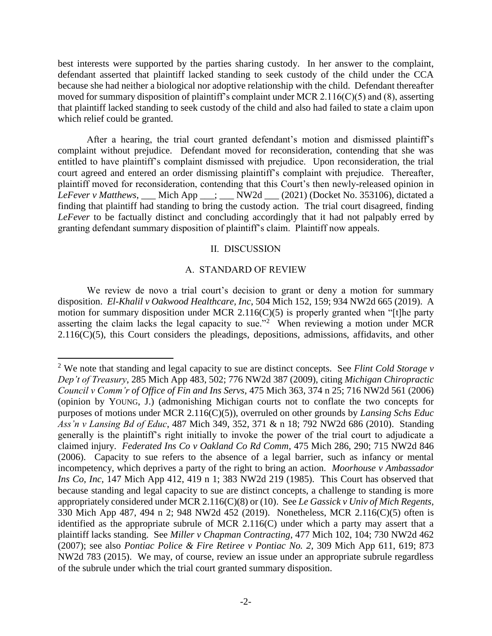best interests were supported by the parties sharing custody. In her answer to the complaint, defendant asserted that plaintiff lacked standing to seek custody of the child under the CCA because she had neither a biological nor adoptive relationship with the child. Defendant thereafter moved for summary disposition of plaintiff's complaint under MCR 2.116(C)(5) and (8), asserting that plaintiff lacked standing to seek custody of the child and also had failed to state a claim upon which relief could be granted.

After a hearing, the trial court granted defendant's motion and dismissed plaintiff's complaint without prejudice. Defendant moved for reconsideration, contending that she was entitled to have plaintiff's complaint dismissed with prejudice. Upon reconsideration, the trial court agreed and entered an order dismissing plaintiff's complaint with prejudice. Thereafter, plaintiff moved for reconsideration, contending that this Court's then newly-released opinion in *LeFever v Matthews*, \_\_\_ Mich App \_\_\_; \_\_\_ NW2d \_\_\_ (2021) (Docket No. 353106), dictated a finding that plaintiff had standing to bring the custody action. The trial court disagreed, finding *LeFever* to be factually distinct and concluding accordingly that it had not palpably erred by granting defendant summary disposition of plaintiff's claim. Plaintiff now appeals.

#### II. DISCUSSION

#### A. STANDARD OF REVIEW

We review de novo a trial court's decision to grant or deny a motion for summary disposition. *El-Khalil v Oakwood Healthcare, Inc*, 504 Mich 152, 159; 934 NW2d 665 (2019). A motion for summary disposition under MCR 2.116(C)(5) is properly granted when "[t]he party asserting the claim lacks the legal capacity to sue."<sup>2</sup> When reviewing a motion under MCR  $2.116(C)(5)$ , this Court considers the pleadings, depositions, admissions, affidavits, and other

 $\overline{a}$ 

<sup>2</sup> We note that standing and legal capacity to sue are distinct concepts. See *Flint Cold Storage v Dep't of Treasury*, 285 Mich App 483, 502; 776 NW2d 387 (2009), citing *Michigan Chiropractic Council v Comm'r of Office of Fin and Ins Servs*, 475 Mich 363, 374 n 25; 716 NW2d 561 (2006) (opinion by YOUNG, J.) (admonishing Michigan courts not to conflate the two concepts for purposes of motions under MCR 2.116(C)(5)), overruled on other grounds by *Lansing Schs Educ Ass'n v Lansing Bd of Educ*, 487 Mich 349, 352, 371 & n 18; 792 NW2d 686 (2010). Standing generally is the plaintiff's right initially to invoke the power of the trial court to adjudicate a claimed injury. *Federated Ins Co v Oakland Co Rd Comm*, 475 Mich 286, 290; 715 NW2d 846 (2006). Capacity to sue refers to the absence of a legal barrier, such as infancy or mental incompetency, which deprives a party of the right to bring an action. *Moorhouse v Ambassador Ins Co, Inc*, 147 Mich App 412, 419 n 1; 383 NW2d 219 (1985). This Court has observed that because standing and legal capacity to sue are distinct concepts, a challenge to standing is more appropriately considered under MCR 2.116(C)(8) or (10). See *Le Gassick v Univ of Mich Regents*, 330 Mich App 487, 494 n 2; 948 NW2d 452 (2019). Nonetheless, MCR 2.116(C)(5) often is identified as the appropriate subrule of MCR 2.116(C) under which a party may assert that a plaintiff lacks standing. See *Miller v Chapman Contracting*, 477 Mich 102, 104; 730 NW2d 462 (2007); see also *Pontiac Police & Fire Retiree v Pontiac No. 2*, 309 Mich App 611, 619; 873 NW2d 783 (2015). We may, of course, review an issue under an appropriate subrule regardless of the subrule under which the trial court granted summary disposition.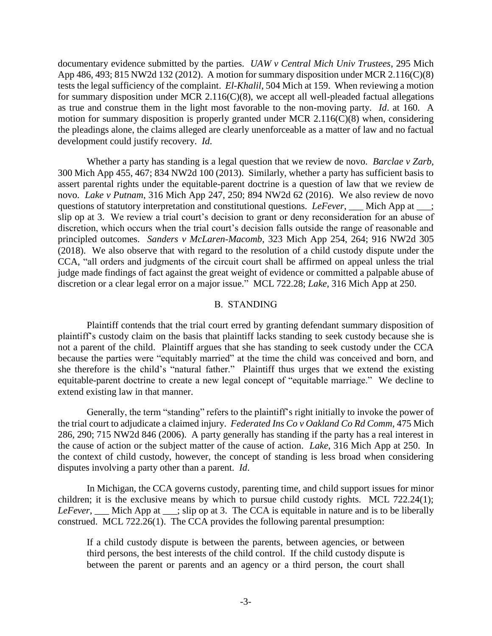documentary evidence submitted by the parties. *UAW v Central Mich Univ Trustees*, 295 Mich App 486, 493; 815 NW2d 132 (2012). A motion for summary disposition under MCR 2.116(C)(8) tests the legal sufficiency of the complaint. *El-Khalil*, 504 Mich at 159. When reviewing a motion for summary disposition under MCR 2.116( $C(8)$ , we accept all well-pleaded factual allegations as true and construe them in the light most favorable to the non-moving party. *Id*. at 160. A motion for summary disposition is properly granted under MCR 2.116(C)(8) when, considering the pleadings alone, the claims alleged are clearly unenforceable as a matter of law and no factual development could justify recovery. *Id*.

Whether a party has standing is a legal question that we review de novo. *Barclae v Zarb*, 300 Mich App 455, 467; 834 NW2d 100 (2013). Similarly, whether a party has sufficient basis to assert parental rights under the equitable-parent doctrine is a question of law that we review de novo. *Lake v Putnam*, 316 Mich App 247, 250; 894 NW2d 62 (2016). We also review de novo questions of statutory interpretation and constitutional questions. *LeFever*, \_\_\_ Mich App at \_\_\_; slip op at 3. We review a trial court's decision to grant or deny reconsideration for an abuse of discretion, which occurs when the trial court's decision falls outside the range of reasonable and principled outcomes. *Sanders v McLaren-Macomb*, 323 Mich App 254, 264; 916 NW2d 305 (2018). We also observe that with regard to the resolution of a child custody dispute under the CCA, "all orders and judgments of the circuit court shall be affirmed on appeal unless the trial judge made findings of fact against the great weight of evidence or committed a palpable abuse of discretion or a clear legal error on a major issue." MCL 722.28; *Lake*, 316 Mich App at 250.

## B. STANDING

Plaintiff contends that the trial court erred by granting defendant summary disposition of plaintiff's custody claim on the basis that plaintiff lacks standing to seek custody because she is not a parent of the child. Plaintiff argues that she has standing to seek custody under the CCA because the parties were "equitably married" at the time the child was conceived and born, and she therefore is the child's "natural father." Plaintiff thus urges that we extend the existing equitable-parent doctrine to create a new legal concept of "equitable marriage." We decline to extend existing law in that manner.

Generally, the term "standing" refers to the plaintiff's right initially to invoke the power of the trial court to adjudicate a claimed injury. *Federated Ins Co v Oakland Co Rd Comm*, 475 Mich 286, 290; 715 NW2d 846 (2006). A party generally has standing if the party has a real interest in the cause of action or the subject matter of the cause of action. *Lake*, 316 Mich App at 250. In the context of child custody, however, the concept of standing is less broad when considering disputes involving a party other than a parent. *Id*.

In Michigan, the CCA governs custody, parenting time, and child support issues for minor children; it is the exclusive means by which to pursue child custody rights. MCL 722.24(1); *LeFever*, Mich App at ; slip op at 3. The CCA is equitable in nature and is to be liberally construed. MCL 722.26(1). The CCA provides the following parental presumption:

If a child custody dispute is between the parents, between agencies, or between third persons, the best interests of the child control. If the child custody dispute is between the parent or parents and an agency or a third person, the court shall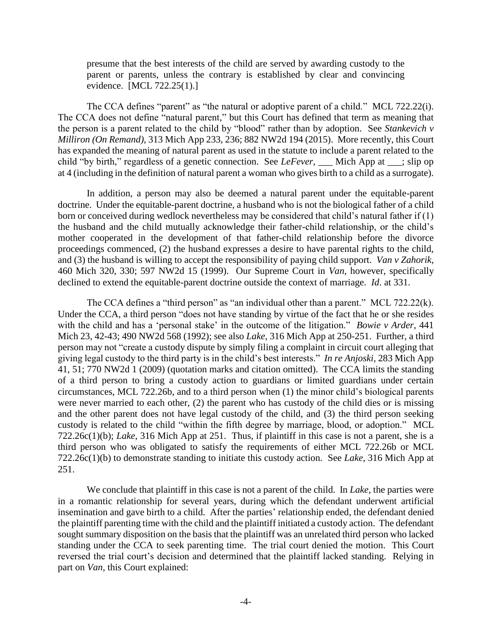presume that the best interests of the child are served by awarding custody to the parent or parents, unless the contrary is established by clear and convincing evidence. [MCL 722.25(1).]

The CCA defines "parent" as "the natural or adoptive parent of a child." MCL 722.22(i). The CCA does not define "natural parent," but this Court has defined that term as meaning that the person is a parent related to the child by "blood" rather than by adoption. See *Stankevich v Milliron (On Remand)*, 313 Mich App 233, 236; 882 NW2d 194 (2015). More recently, this Court has expanded the meaning of natural parent as used in the statute to include a parent related to the child "by birth," regardless of a genetic connection. See *LeFever*, Mich App at ; slip op at 4 (including in the definition of natural parent a woman who gives birth to a child as a surrogate).

In addition, a person may also be deemed a natural parent under the equitable-parent doctrine. Under the equitable-parent doctrine, a husband who is not the biological father of a child born or conceived during wedlock nevertheless may be considered that child's natural father if (1) the husband and the child mutually acknowledge their father-child relationship, or the child's mother cooperated in the development of that father-child relationship before the divorce proceedings commenced, (2) the husband expresses a desire to have parental rights to the child, and (3) the husband is willing to accept the responsibility of paying child support. *Van v Zahorik*, 460 Mich 320, 330; 597 NW2d 15 (1999). Our Supreme Court in *Van*, however, specifically declined to extend the equitable-parent doctrine outside the context of marriage. *Id*. at 331.

The CCA defines a "third person" as "an individual other than a parent." MCL 722.22(k). Under the CCA, a third person "does not have standing by virtue of the fact that he or she resides with the child and has a 'personal stake' in the outcome of the litigation." *Bowie v Arder*, 441 Mich 23, 42-43; 490 NW2d 568 (1992); see also *Lake*, 316 Mich App at 250-251. Further, a third person may not "create a custody dispute by simply filing a complaint in circuit court alleging that giving legal custody to the third party is in the child's best interests." *In re Anjoski*, 283 Mich App 41, 51; 770 NW2d 1 (2009) (quotation marks and citation omitted). The CCA limits the standing of a third person to bring a custody action to guardians or limited guardians under certain circumstances, MCL 722.26b, and to a third person when (1) the minor child's biological parents were never married to each other, (2) the parent who has custody of the child dies or is missing and the other parent does not have legal custody of the child, and (3) the third person seeking custody is related to the child "within the fifth degree by marriage, blood, or adoption." MCL 722.26c(1)(b); *Lake*, 316 Mich App at 251. Thus, if plaintiff in this case is not a parent, she is a third person who was obligated to satisfy the requirements of either MCL 722.26b or MCL 722.26c(1)(b) to demonstrate standing to initiate this custody action. See *Lake*, 316 Mich App at 251.

We conclude that plaintiff in this case is not a parent of the child. In *Lake*, the parties were in a romantic relationship for several years, during which the defendant underwent artificial insemination and gave birth to a child. After the parties' relationship ended, the defendant denied the plaintiff parenting time with the child and the plaintiff initiated a custody action. The defendant sought summary disposition on the basis that the plaintiff was an unrelated third person who lacked standing under the CCA to seek parenting time. The trial court denied the motion. This Court reversed the trial court's decision and determined that the plaintiff lacked standing. Relying in part on *Van*, this Court explained: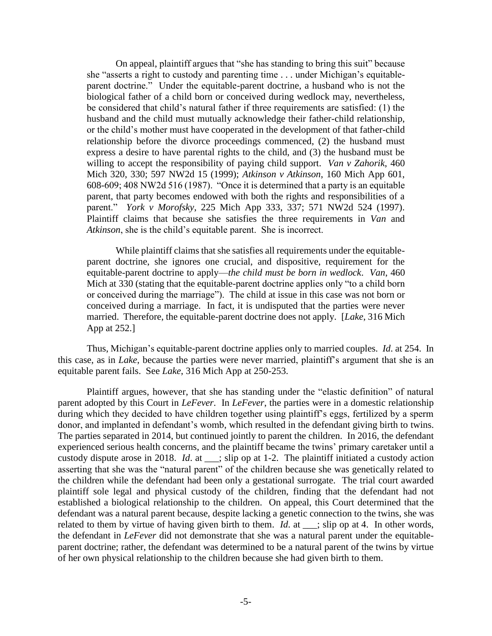On appeal, plaintiff argues that "she has standing to bring this suit" because she "asserts a right to custody and parenting time . . . under Michigan's equitableparent doctrine." Under the equitable-parent doctrine, a husband who is not the biological father of a child born or conceived during wedlock may, nevertheless, be considered that child's natural father if three requirements are satisfied: (1) the husband and the child must mutually acknowledge their father-child relationship, or the child's mother must have cooperated in the development of that father-child relationship before the divorce proceedings commenced, (2) the husband must express a desire to have parental rights to the child, and (3) the husband must be willing to accept the responsibility of paying child support. *Van v Zahorik*, 460 Mich 320, 330; 597 NW2d 15 (1999); *Atkinson v Atkinson*, 160 Mich App 601, 608-609; 408 NW2d 516 (1987). "Once it is determined that a party is an equitable parent, that party becomes endowed with both the rights and responsibilities of a parent." *York v Morofsky*, 225 Mich App 333, 337; 571 NW2d 524 (1997). Plaintiff claims that because she satisfies the three requirements in *Van* and *Atkinson*, she is the child's equitable parent. She is incorrect.

While plaintiff claims that she satisfies all requirements under the equitableparent doctrine, she ignores one crucial, and dispositive, requirement for the equitable-parent doctrine to apply—*the child must be born in wedlock*. *Van*, 460 Mich at 330 (stating that the equitable-parent doctrine applies only "to a child born or conceived during the marriage"). The child at issue in this case was not born or conceived during a marriage. In fact, it is undisputed that the parties were never married. Therefore, the equitable-parent doctrine does not apply. [*Lake*, 316 Mich App at 252.]

Thus, Michigan's equitable-parent doctrine applies only to married couples. *Id*. at 254. In this case, as in *Lake*, because the parties were never married, plaintiff's argument that she is an equitable parent fails. See *Lake*, 316 Mich App at 250-253.

Plaintiff argues, however, that she has standing under the "elastic definition" of natural parent adopted by this Court in *LeFever*. In *LeFever*, the parties were in a domestic relationship during which they decided to have children together using plaintiff's eggs, fertilized by a sperm donor, and implanted in defendant's womb, which resulted in the defendant giving birth to twins. The parties separated in 2014, but continued jointly to parent the children. In 2016, the defendant experienced serious health concerns, and the plaintiff became the twins' primary caretaker until a custody dispute arose in 2018. *Id*. at \_\_\_; slip op at 1-2. The plaintiff initiated a custody action asserting that she was the "natural parent" of the children because she was genetically related to the children while the defendant had been only a gestational surrogate. The trial court awarded plaintiff sole legal and physical custody of the children, finding that the defendant had not established a biological relationship to the children. On appeal, this Court determined that the defendant was a natural parent because, despite lacking a genetic connection to the twins, she was related to them by virtue of having given birth to them. *Id*. at \_\_\_; slip op at 4. In other words, the defendant in *LeFever* did not demonstrate that she was a natural parent under the equitableparent doctrine; rather, the defendant was determined to be a natural parent of the twins by virtue of her own physical relationship to the children because she had given birth to them.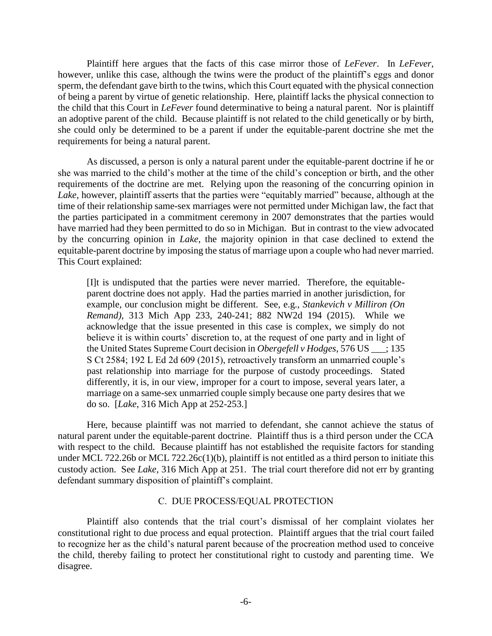Plaintiff here argues that the facts of this case mirror those of *LeFever*. In *LeFever*, however, unlike this case, although the twins were the product of the plaintiff's eggs and donor sperm, the defendant gave birth to the twins, which this Court equated with the physical connection of being a parent by virtue of genetic relationship. Here, plaintiff lacks the physical connection to the child that this Court in *LeFever* found determinative to being a natural parent. Nor is plaintiff an adoptive parent of the child. Because plaintiff is not related to the child genetically or by birth, she could only be determined to be a parent if under the equitable-parent doctrine she met the requirements for being a natural parent.

As discussed, a person is only a natural parent under the equitable-parent doctrine if he or she was married to the child's mother at the time of the child's conception or birth, and the other requirements of the doctrine are met. Relying upon the reasoning of the concurring opinion in *Lake*, however, plaintiff asserts that the parties were "equitably married" because, although at the time of their relationship same-sex marriages were not permitted under Michigan law, the fact that the parties participated in a commitment ceremony in 2007 demonstrates that the parties would have married had they been permitted to do so in Michigan. But in contrast to the view advocated by the concurring opinion in *Lake*, the majority opinion in that case declined to extend the equitable-parent doctrine by imposing the status of marriage upon a couple who had never married. This Court explained:

[I]t is undisputed that the parties were never married. Therefore, the equitableparent doctrine does not apply. Had the parties married in another jurisdiction, for example, our conclusion might be different. See, e.g., *Stankevich v Milliron (On Remand)*, 313 Mich App 233, 240-241; 882 NW2d 194 (2015). While we acknowledge that the issue presented in this case is complex, we simply do not believe it is within courts' discretion to, at the request of one party and in light of the United States Supreme Court decision in *Obergefell v Hodges*, 576 US \_\_\_; 135 S Ct 2584; 192 L Ed 2d 609 (2015), retroactively transform an unmarried couple's past relationship into marriage for the purpose of custody proceedings. Stated differently, it is, in our view, improper for a court to impose, several years later, a marriage on a same-sex unmarried couple simply because one party desires that we do so. [*Lake*, 316 Mich App at 252-253.]

Here, because plaintiff was not married to defendant, she cannot achieve the status of natural parent under the equitable-parent doctrine. Plaintiff thus is a third person under the CCA with respect to the child. Because plaintiff has not established the requisite factors for standing under MCL 722.26b or MCL 722.26 $c(1)(b)$ , plaintiff is not entitled as a third person to initiate this custody action. See *Lake*, 316 Mich App at 251. The trial court therefore did not err by granting defendant summary disposition of plaintiff's complaint.

## C. DUE PROCESS/EQUAL PROTECTION

Plaintiff also contends that the trial court's dismissal of her complaint violates her constitutional right to due process and equal protection. Plaintiff argues that the trial court failed to recognize her as the child's natural parent because of the procreation method used to conceive the child, thereby failing to protect her constitutional right to custody and parenting time. We disagree.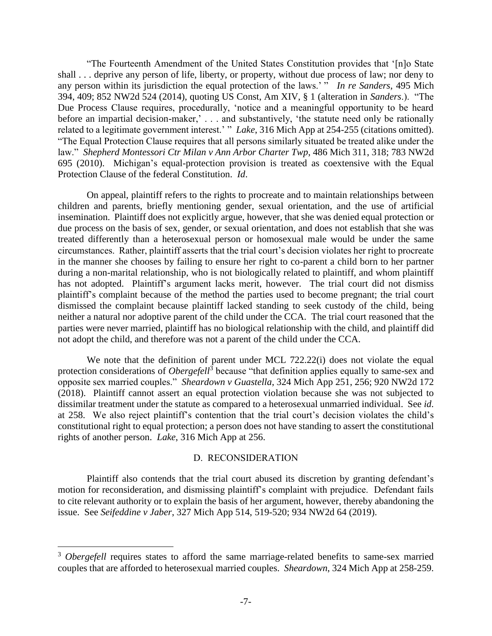"The Fourteenth Amendment of the United States Constitution provides that '[n]o State shall . . . deprive any person of life, liberty, or property, without due process of law; nor deny to any person within its jurisdiction the equal protection of the laws.' " *In re Sanders*, 495 Mich 394, 409; 852 NW2d 524 (2014), quoting US Const, Am XIV, § 1 (alteration in *Sanders*.). "The Due Process Clause requires, procedurally, 'notice and a meaningful opportunity to be heard before an impartial decision-maker,' . . . and substantively, 'the statute need only be rationally related to a legitimate government interest.' " *Lake*, 316 Mich App at 254-255 (citations omitted). "The Equal Protection Clause requires that all persons similarly situated be treated alike under the law." *Shepherd Montessori Ctr Milan v Ann Arbor Charter Twp*, 486 Mich 311, 318; 783 NW2d 695 (2010). Michigan's equal-protection provision is treated as coextensive with the Equal Protection Clause of the federal Constitution. *Id*.

On appeal, plaintiff refers to the rights to procreate and to maintain relationships between children and parents, briefly mentioning gender, sexual orientation, and the use of artificial insemination. Plaintiff does not explicitly argue, however, that she was denied equal protection or due process on the basis of sex, gender, or sexual orientation, and does not establish that she was treated differently than a heterosexual person or homosexual male would be under the same circumstances. Rather, plaintiff asserts that the trial court's decision violates her right to procreate in the manner she chooses by failing to ensure her right to co-parent a child born to her partner during a non-marital relationship, who is not biologically related to plaintiff, and whom plaintiff has not adopted. Plaintiff's argument lacks merit, however. The trial court did not dismiss plaintiff's complaint because of the method the parties used to become pregnant; the trial court dismissed the complaint because plaintiff lacked standing to seek custody of the child, being neither a natural nor adoptive parent of the child under the CCA. The trial court reasoned that the parties were never married, plaintiff has no biological relationship with the child, and plaintiff did not adopt the child, and therefore was not a parent of the child under the CCA.

We note that the definition of parent under MCL 722.22(i) does not violate the equal protection considerations of *Obergefell*<sup>3</sup> because "that definition applies equally to same-sex and opposite sex married couples." *Sheardown v Guastella*, 324 Mich App 251, 256; 920 NW2d 172 (2018). Plaintiff cannot assert an equal protection violation because she was not subjected to dissimilar treatment under the statute as compared to a heterosexual unmarried individual. See *id*. at 258. We also reject plaintiff's contention that the trial court's decision violates the child's constitutional right to equal protection; a person does not have standing to assert the constitutional rights of another person. *Lake*, 316 Mich App at 256.

## D. RECONSIDERATION

Plaintiff also contends that the trial court abused its discretion by granting defendant's motion for reconsideration, and dismissing plaintiff's complaint with prejudice. Defendant fails to cite relevant authority or to explain the basis of her argument, however, thereby abandoning the issue. See *Seifeddine v Jaber*, 327 Mich App 514, 519-520; 934 NW2d 64 (2019).

 $\overline{a}$ 

<sup>&</sup>lt;sup>3</sup> *Obergefell* requires states to afford the same marriage-related benefits to same-sex married couples that are afforded to heterosexual married couples. *Sheardown*, 324 Mich App at 258-259.